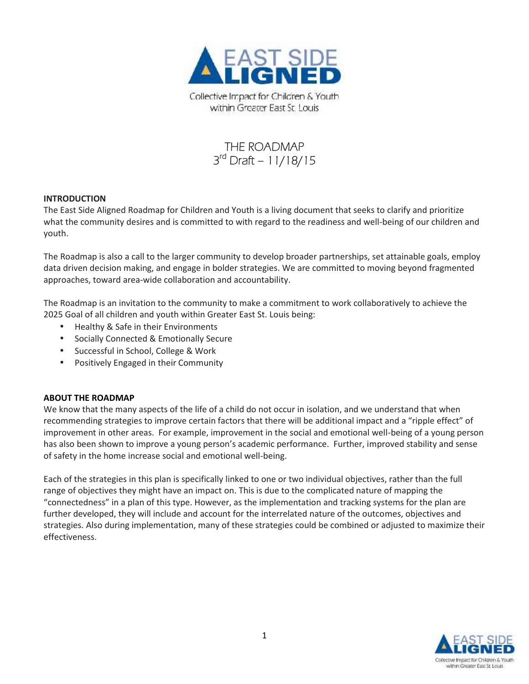

# **THE ROADMAP 3 rd Draft – 11/18/15**

## **INTRODUCTION**

The East Side Aligned Roadmap for Children and Youth is a living document that seeks to clarify and prioritize what the community desires and is committed to with regard to the readiness and well-being of our children and youth.

The Roadmap is also a call to the larger community to develop broader partnerships, set attainable goals, employ data driven decision making, and engage in bolder strategies. We are committed to moving beyond fragmented approaches, toward area-wide collaboration and accountability.

The Roadmap is an invitation to the community to make a commitment to work collaboratively to achieve the 2025 Goal of all children and youth within Greater East St. Louis being:

- Healthy & Safe in their Environments
- Socially Connected & Emotionally Secure
- Successful in School, College & Work
- Positively Engaged in their Community

## **ABOUT THE ROADMAP**

We know that the many aspects of the life of a child do not occur in isolation, and we understand that when recommending strategies to improve certain factors that there will be additional impact and a "ripple effect" of improvement in other areas. For example, improvement in the social and emotional well-being of a young person has also been shown to improve a young person's academic performance. Further, improved stability and sense of safety in the home increase social and emotional well-being.

Each of the strategies in this plan is specifically linked to one or two individual objectives, rather than the full range of objectives they might have an impact on. This is due to the complicated nature of mapping the "connectedness" in a plan of this type. However, as the implementation and tracking systems for the plan are further developed, they will include and account for the interrelated nature of the outcomes, objectives and strategies. Also during implementation, many of these strategies could be combined or adjusted to maximize their effectiveness.

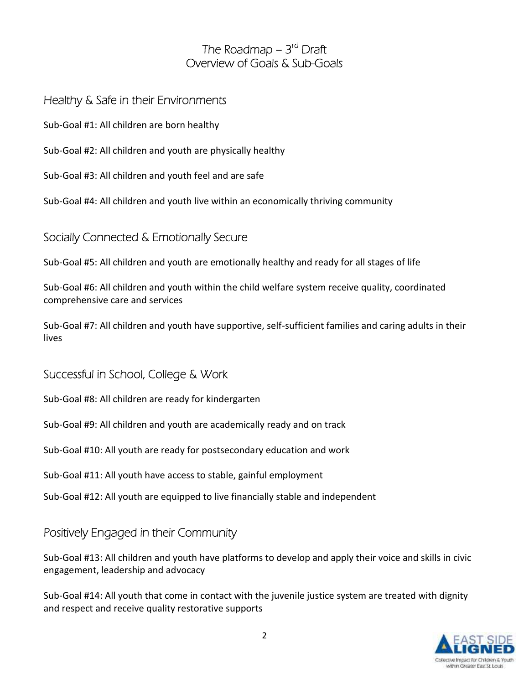# **The Roadmap – 3 rd Draft Overview of Goals & Sub-Goals**

## **Healthy & Safe in their Environments**

Sub-Goal #1: All children are born healthy

Sub-Goal #2: All children and youth are physically healthy

Sub-Goal #3: All children and youth feel and are safe

Sub-Goal #4: All children and youth live within an economically thriving community

# **Socially Connected & Emotionally Secure**

Sub-Goal #5: All children and youth are emotionally healthy and ready for all stages of life

Sub-Goal #6: All children and youth within the child welfare system receive quality, coordinated comprehensive care and services

Sub-Goal #7: All children and youth have supportive, self-sufficient families and caring adults in their lives

# **Successful in School, College & Work**

Sub-Goal #8: All children are ready for kindergarten

Sub-Goal #9: All children and youth are academically ready and on track

Sub-Goal #10: All youth are ready for postsecondary education and work

Sub-Goal #11: All youth have access to stable, gainful employment

Sub-Goal #12: All youth are equipped to live financially stable and independent

# **Positively Engaged in their Community**

Sub-Goal #13: All children and youth have platforms to develop and apply their voice and skills in civic engagement, leadership and advocacy

Sub-Goal #14: All youth that come in contact with the juvenile justice system are treated with dignity and respect and receive quality restorative supports

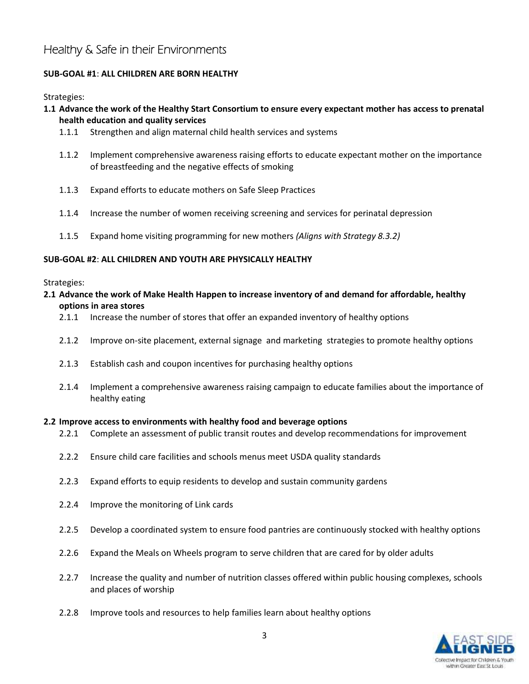# **Healthy & Safe in their Environments**

## **SUB-GOAL #1**: **ALL CHILDREN ARE BORN HEALTHY**

Strategies:

## **1.1 Advance the work of the Healthy Start Consortium to ensure every expectant mother has access to prenatal health education and quality services**

- 1.1.1 Strengthen and align maternal child health services and systems
- 1.1.2 Implement comprehensive awareness raising efforts to educate expectant mother on the importance of breastfeeding and the negative effects of smoking
- 1.1.3 Expand efforts to educate mothers on Safe Sleep Practices
- 1.1.4 Increase the number of women receiving screening and services for perinatal depression
- 1.1.5 Expand home visiting programming for new mothers *(Aligns with Strategy 8.3.2)*

## **SUB-GOAL #2**: **ALL CHILDREN AND YOUTH ARE PHYSICALLY HEALTHY**

## Strategies:

- **2.1 Advance the work of Make Health Happen to increase inventory of and demand for affordable, healthy options in area stores**
	- 2.1.1 Increase the number of stores that offer an expanded inventory of healthy options
	- 2.1.2 Improve on-site placement, external signage and marketing strategies to promote healthy options
	- 2.1.3 Establish cash and coupon incentives for purchasing healthy options
	- 2.1.4 Implement a comprehensive awareness raising campaign to educate families about the importance of healthy eating

## **2.2 Improve access to environments with healthy food and beverage options**

- 2.2.1 Complete an assessment of public transit routes and develop recommendations for improvement
- 2.2.2 Ensure child care facilities and schools menus meet USDA quality standards
- 2.2.3 Expand efforts to equip residents to develop and sustain community gardens
- 2.2.4 Improve the monitoring of Link cards
- 2.2.5 Develop a coordinated system to ensure food pantries are continuously stocked with healthy options
- 2.2.6 Expand the Meals on Wheels program to serve children that are cared for by older adults
- 2.2.7 Increase the quality and number of nutrition classes offered within public housing complexes, schools and places of worship
- 2.2.8 Improve tools and resources to help families learn about healthy options

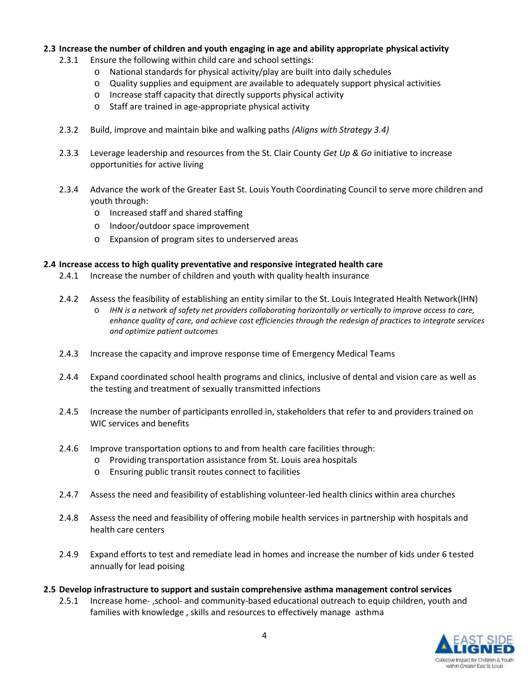## **2.3 Increase the number of children and youth engaging in age and ability appropriate physical activity**

- 2.3.1 Ensure the following within child care and school settings:
	- o National standards for physical activity/play are built into daily schedules
	- o Quality supplies and equipment are available to adequately support physical activities
	- o Increase staff capacity that directly supports physical activity
	- o Staff are trained in age-appropriate physical activity
- 2.3.2 Build, improve and maintain bike and walking paths *(Aligns with Strategy 3.4)*
- 2.3.3 Leverage leadership and resources from the St. Clair County *Get Up & Go* initiative to increase opportunities for active living
- 2.3.4 Advance the work of the Greater East St. Louis Youth Coordinating Council to serve more children and youth through:
	- o Increased staff and shared staffing
	- o Indoor/outdoor space improvement
	- o Expansion of program sites to underserved areas

## **2.4 Increase access to high quality preventative and responsive integrated health care**

- 2.4.1 Increase the number of children and youth with quality health insurance
- 2.4.2 Assess the feasibility of establishing an entity similar to the St. Louis Integrated Health Network(IHN) o *IHN is a network of safety net providers collaborating horizontally or vertically to improve access to care, enhance quality of care, and achieve cost efficiencies through the redesign of practices to integrate services and optimize patient outcomes*
- 2.4.3 Increase the capacity and improve response time of Emergency Medical Teams
- 2.4.4 Expand coordinated school health programs and clinics, inclusive of dental and vision care as well as the testing and treatment of sexually transmitted infections
- 2.4.5 Increase the number of participants enrolled in, stakeholders that refer to and providers trained on WIC services and benefits
- 2.4.6 Improve transportation options to and from health care facilities through:
	- o Providing transportation assistance from St. Louis area hospitals
	- o Ensuring public transit routes connect to facilities
- 2.4.7 Assess the need and feasibility of establishing volunteer-led health clinics within area churches
- 2.4.8 Assess the need and feasibility of offering mobile health services in partnership with hospitals and health care centers
- 2.4.9 Expand efforts to test and remediate lead in homes and increase the number of kids under 6 tested annually for lead poising
- **2.5 Develop infrastructure to support and sustain comprehensive asthma management control services**
	- 2.5.1 Increase home- ,school- and community-based educational outreach to equip children, youth and families with knowledge , skills and resources to effectively manage asthma

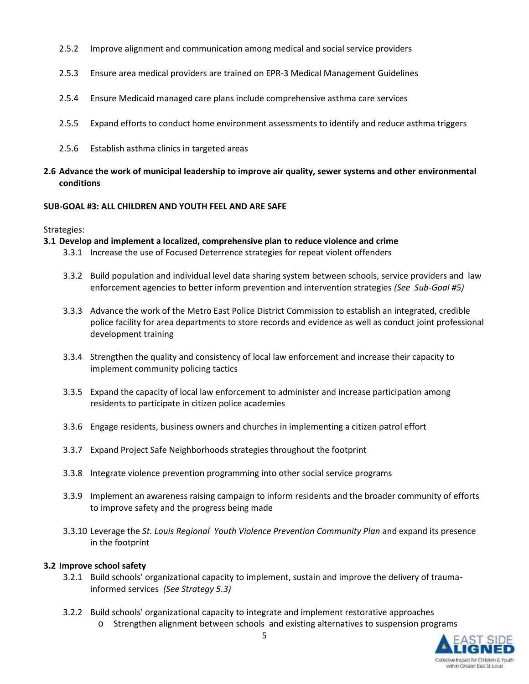- 2.5.2 Improve alignment and communication among medical and social service providers
- 2.5.3 Ensure area medical providers are trained on EPR-3 Medical Management Guidelines
- 2.5.4 Ensure Medicaid managed care plans include comprehensive asthma care services
- 2.5.5 Expand efforts to conduct home environment assessments to identify and reduce asthma triggers
- 2.5.6 Establish asthma clinics in targeted areas
- **2.6 Advance the work of municipal leadership to improve air quality, sewer systems and other environmental conditions**

## **SUB-GOAL #3: ALL CHILDREN AND YOUTH FEEL AND ARE SAFE**

Strategies:

**3.1 Develop and implement a localized, comprehensive plan to reduce violence and crime**

- 3.3.1 Increase the use of Focused Deterrence strategies for repeat violent offenders
- 3.3.2 Build population and individual level data sharing system between schools, service providers and law enforcement agencies to better inform prevention and intervention strategies *(See Sub-Goal #5)*
- 3.3.3 Advance the work of the Metro East Police District Commission to establish an integrated, credible police facility for area departments to store records and evidence as well as conduct joint professional development training
- 3.3.4 Strengthen the quality and consistency of local law enforcement and increase their capacity to implement community policing tactics
- 3.3.5 Expand the capacity of local law enforcement to administer and increase participation among residents to participate in citizen police academies
- 3.3.6 Engage residents, business owners and churches in implementing a citizen patrol effort
- 3.3.7 Expand Project Safe Neighborhoods strategies throughout the footprint
- 3.3.8 Integrate violence prevention programming into other social service programs
- 3.3.9 Implement an awareness raising campaign to inform residents and the broader community of efforts to improve safety and the progress being made
- 3.3.10 Leverage the *St. Louis Regional Youth Violence Prevention Community Plan* and expand its presence in the footprint

## **3.2 Improve school safety**

- 3.2.1 Build schools' organizational capacity to implement, sustain and improve the delivery of traumainformed services *(See Strategy 5.3)*
- 3.2.2 Build schools' organizational capacity to integrate and implement restorative approaches
	- o Strengthen alignment between schools and existing alternatives to suspension programs

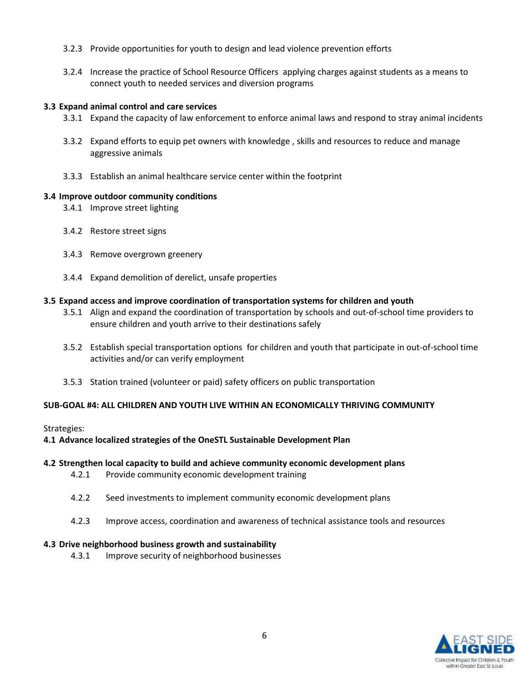- 3.2.3 Provide opportunities for youth to design and lead violence prevention efforts
- 3.2.4 Increase the practice of School Resource Officers applying charges against students as a means to connect youth to needed services and diversion programs

#### **3.3 Expand animal control and care services**

- 3.3.1 Expand the capacity of law enforcement to enforce animal laws and respond to stray animal incidents
- 3.3.2 Expand efforts to equip pet owners with knowledge , skills and resources to reduce and manage aggressive animals
- 3.3.3 Establish an animal healthcare service center within the footprint

#### **3.4 Improve outdoor community conditions**

- 3.4.1 Improve street lighting
- 3.4.2 Restore street signs
- 3.4.3 Remove overgrown greenery
- 3.4.4 Expand demolition of derelict, unsafe properties

#### **3.5 Expand access and improve coordination of transportation systems for children and youth**

- 3.5.1 Align and expand the coordination of transportation by schools and out-of-school time providers to ensure children and youth arrive to their destinations safely
- 3.5.2 Establish special transportation options for children and youth that participate in out-of-school time activities and/or can verify employment
- 3.5.3 Station trained (volunteer or paid) safety officers on public transportation

## **SUB-GOAL #4: ALL CHILDREN AND YOUTH LIVE WITHIN AN ECONOMICALLY THRIVING COMMUNITY**

#### Strategies:

## **4.1 Advance localized strategies of the OneSTL Sustainable Development Plan**

#### **4.2 Strengthen local capacity to build and achieve community economic development plans**

- 4.2.1 Provide community economic development training
- 4.2.2 Seed investments to implement community economic development plans
- 4.2.3 Improve access, coordination and awareness of technical assistance tools and resources

## **4.3 Drive neighborhood business growth and sustainability**

4.3.1 Improve security of neighborhood businesses

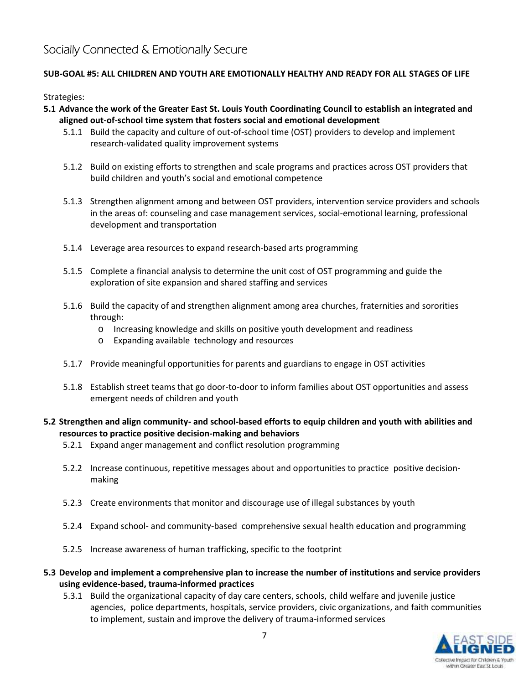## **SUB-GOAL #5: ALL CHILDREN AND YOUTH ARE EMOTIONALLY HEALTHY AND READY FOR ALL STAGES OF LIFE**

Strategies:

- **5.1 Advance the work of the Greater East St. Louis Youth Coordinating Council to establish an integrated and aligned out-of-school time system that fosters social and emotional development**
	- 5.1.1 Build the capacity and culture of out-of-school time (OST) providers to develop and implement research-validated quality improvement systems
	- 5.1.2 Build on existing efforts to strengthen and scale programs and practices across OST providers that build children and youth's social and emotional competence
	- 5.1.3 Strengthen alignment among and between OST providers, intervention service providers and schools in the areas of: counseling and case management services, social-emotional learning, professional development and transportation
	- 5.1.4 Leverage area resources to expand research-based arts programming
	- 5.1.5 Complete a financial analysis to determine the unit cost of OST programming and guide the exploration of site expansion and shared staffing and services
	- 5.1.6 Build the capacity of and strengthen alignment among area churches, fraternities and sororities through:
		- o Increasing knowledge and skills on positive youth development and readiness
		- o Expanding available technology and resources
	- 5.1.7 Provide meaningful opportunities for parents and guardians to engage in OST activities
	- 5.1.8 Establish street teams that go door-to-door to inform families about OST opportunities and assess emergent needs of children and youth

## **5.2 Strengthen and align community- and school-based efforts to equip children and youth with abilities and resources to practice positive decision-making and behaviors**

- 5.2.1 Expand anger management and conflict resolution programming
- 5.2.2 Increase continuous, repetitive messages about and opportunities to practice positive decision making
- 5.2.3 Create environments that monitor and discourage use of illegal substances by youth
- 5.2.4 Expand school- and community-based comprehensive sexual health education and programming
- 5.2.5 Increase awareness of human trafficking, specific to the footprint
- **5.3 Develop and implement a comprehensive plan to increase the number of institutions and service providers using evidence-based, trauma-informed practices**
	- 5.3.1 Build the organizational capacity of day care centers, schools, child welfare and juvenile justice agencies, police departments, hospitals, service providers, civic organizations, and faith communities to implement, sustain and improve the delivery of trauma-informed services

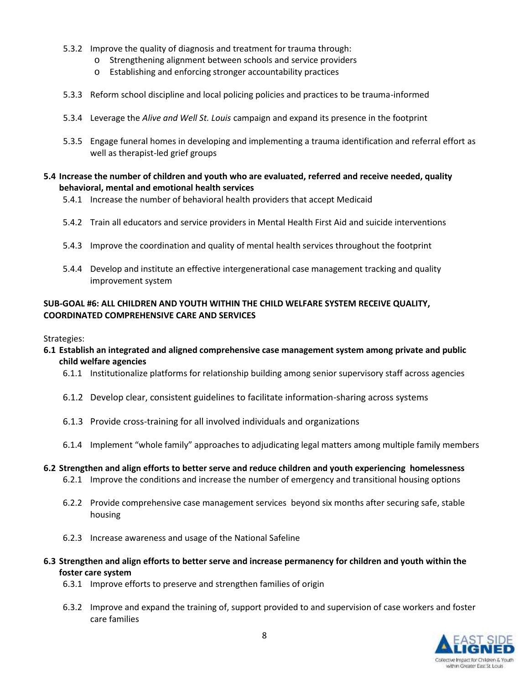- 5.3.2 Improve the quality of diagnosis and treatment for trauma through:
	- o Strengthening alignment between schools and service providers
	- o Establishing and enforcing stronger accountability practices
- 5.3.3 Reform school discipline and local policing policies and practices to be trauma-informed
- 5.3.4 Leverage the *Alive and Well St. Louis* campaign and expand its presence in the footprint
- 5.3.5 Engage funeral homes in developing and implementing a trauma identification and referral effort as well as therapist-led grief groups

## **5.4 Increase the number of children and youth who are evaluated, referred and receive needed, quality behavioral, mental and emotional health services**

- 5.4.1 Increase the number of behavioral health providers that accept Medicaid
- 5.4.2 Train all educators and service providers in Mental Health First Aid and suicide interventions
- 5.4.3 Improve the coordination and quality of mental health services throughout the footprint
- 5.4.4 Develop and institute an effective intergenerational case management tracking and quality improvement system

## **SUB-GOAL #6: ALL CHILDREN AND YOUTH WITHIN THE CHILD WELFARE SYSTEM RECEIVE QUALITY, COORDINATED COMPREHENSIVE CARE AND SERVICES**

## Strategies:

- **6.1 Establish an integrated and aligned comprehensive case management system among private and public child welfare agencies**
	- 6.1.1 Institutionalize platforms for relationship building among senior supervisory staff across agencies
	- 6.1.2 Develop clear, consistent guidelines to facilitate information-sharing across systems
	- 6.1.3 Provide cross-training for all involved individuals and organizations
	- 6.1.4 Implement "whole family" approaches to adjudicating legal matters among multiple family members
- **6.2 Strengthen and align efforts to better serve and reduce children and youth experiencing homelessness** 6.2.1 Improve the conditions and increase the number of emergency and transitional housing options
	-
	- 6.2.2 Provide comprehensive case management services beyond six months after securing safe, stable housing
	- 6.2.3 Increase awareness and usage of the National Safeline
- **6.3 Strengthen and align efforts to better serve and increase permanency for children and youth within the foster care system**
	- 6.3.1 Improve efforts to preserve and strengthen families of origin
	- 6.3.2 Improve and expand the training of, support provided to and supervision of case workers and foster care families

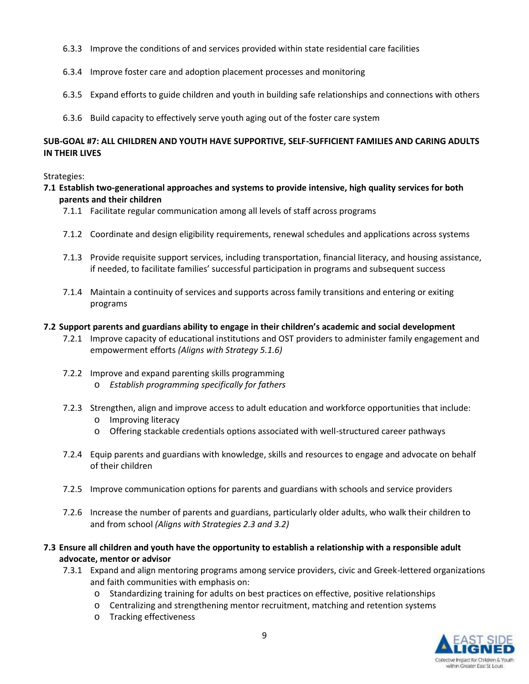- 6.3.3 Improve the conditions of and services provided within state residential care facilities
- 6.3.4 Improve foster care and adoption placement processes and monitoring
- 6.3.5 Expand efforts to guide children and youth in building safe relationships and connections with others
- 6.3.6 Build capacity to effectively serve youth aging out of the foster care system

## **SUB-GOAL #7: ALL CHILDREN AND YOUTH HAVE SUPPORTIVE, SELF-SUFFICIENT FAMILIES AND CARING ADULTS IN THEIR LIVES**

## Strategies:

- **7.1 Establish two-generational approaches and systems to provide intensive, high quality services for both parents and their children**
	- 7.1.1 Facilitate regular communication among all levels of staff across programs
	- 7.1.2 Coordinate and design eligibility requirements, renewal schedules and applications across systems
	- 7.1.3 Provide requisite support services, including transportation, financial literacy, and housing assistance, if needed, to facilitate families' successful participation in programs and subsequent success
	- 7.1.4 Maintain a continuity of services and supports across family transitions and entering or exiting programs

## **7.2 Support parents and guardians ability to engage in their children's academic and social development**

- 7.2.1 Improve capacity of educational institutions and OST providers to administer family engagement and empowerment efforts *(Aligns with Strategy 5.1.6)*
- 7.2.2 Improve and expand parenting skills programming
	- o *Establish programming specifically for fathers*
- 7.2.3 Strengthen, align and improve access to adult education and workforce opportunities that include:
	- o Improving literacy
	- o Offering stackable credentials options associated with well-structured career pathways
- 7.2.4 Equip parents and guardians with knowledge, skills and resources to engage and advocate on behalf of their children
- 7.2.5 Improve communication options for parents and guardians with schools and service providers
- 7.2.6 Increase the number of parents and guardians, particularly older adults, who walk their children to and from school *(Aligns with Strategies 2.3 and 3.2)*
- **7.3 Ensure all children and youth have the opportunity to establish a relationship with a responsible adult advocate, mentor or advisor**
	- 7.3.1 Expand and align mentoring programs among service providers, civic and Greek-lettered organizations and faith communities with emphasis on:
		- o Standardizing training for adults on best practices on effective, positive relationships
		- o Centralizing and strengthening mentor recruitment, matching and retention systems
		- o Tracking effectiveness

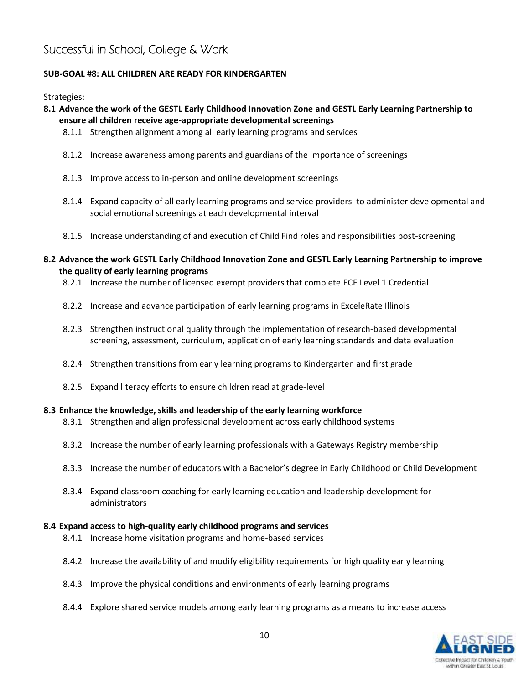# **Successful in School, College & Work**

## **SUB-GOAL #8: ALL CHILDREN ARE READY FOR KINDERGARTEN**

Strategies:

## **8.1 Advance the work of the GESTL Early Childhood Innovation Zone and GESTL Early Learning Partnership to ensure all children receive age-appropriate developmental screenings**

- 8.1.1 Strengthen alignment among all early learning programs and services
- 8.1.2 Increase awareness among parents and guardians of the importance of screenings
- 8.1.3 Improve access to in-person and online development screenings
- 8.1.4 Expand capacity of all early learning programs and service providers to administer developmental and social emotional screenings at each developmental interval
- 8.1.5 Increase understanding of and execution of Child Find roles and responsibilities post-screening

## **8.2 Advance the work GESTL Early Childhood Innovation Zone and GESTL Early Learning Partnership to improve the quality of early learning programs**

- 8.2.1 Increase the number of licensed exempt providers that complete ECE Level 1 Credential
- 8.2.2 Increase and advance participation of early learning programs in ExceleRate Illinois
- 8.2.3 Strengthen instructional quality through the implementation of research-based developmental screening, assessment, curriculum, application of early learning standards and data evaluation
- 8.2.4 Strengthen transitions from early learning programs to Kindergarten and first grade
- 8.2.5 Expand literacy efforts to ensure children read at grade-level

#### **8.3 Enhance the knowledge, skills and leadership of the early learning workforce**

- 8.3.1 Strengthen and align professional development across early childhood systems
- 8.3.2 Increase the number of early learning professionals with a Gateways Registry membership
- 8.3.3 Increase the number of educators with a Bachelor's degree in Early Childhood or Child Development
- 8.3.4 Expand classroom coaching for early learning education and leadership development for administrators

#### **8.4 Expand access to high-quality early childhood programs and services**

- 8.4.1 Increase home visitation programs and home-based services
- 8.4.2 Increase the availability of and modify eligibility requirements for high quality early learning
- 8.4.3 Improve the physical conditions and environments of early learning programs
- 8.4.4 Explore shared service models among early learning programs as a means to increase access

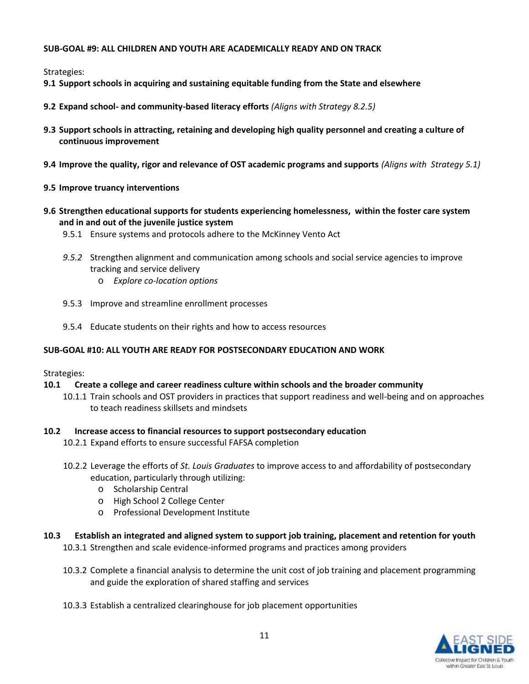## **SUB-GOAL #9: ALL CHILDREN AND YOUTH ARE ACADEMICALLY READY AND ON TRACK**

Strategies:

- **9.1 Support schools in acquiring and sustaining equitable funding from the State and elsewhere**
- **9.2 Expand school- and community-based literacy efforts** *(Aligns with Strategy 8.2.5)*
- **9.3 Support schools in attracting, retaining and developing high quality personnel and creating a culture of continuous improvement**
- **9.4 Improve the quality, rigor and relevance of OST academic programs and supports** *(Aligns with Strategy 5.1)*
- **9.5 Improve truancy interventions**
- **9.6 Strengthen educational supports for students experiencing homelessness, within the foster care system and in and out of the juvenile justice system**
	- 9.5.1 Ensure systems and protocols adhere to the McKinney Vento Act
	- *9.5.2* Strengthen alignment and communication among schools and social service agencies to improve tracking and service delivery
		- o *Explore co-location options*
	- 9.5.3 Improve and streamline enrollment processes
	- 9.5.4 Educate students on their rights and how to access resources

## **SUB-GOAL #10: ALL YOUTH ARE READY FOR POSTSECONDARY EDUCATION AND WORK**

Strategies:

- **10.1 Create a college and career readiness culture within schools and the broader community**
	- 10.1.1 Train schools and OST providers in practices that support readiness and well-being and on approaches to teach readiness skillsets and mindsets

## **10.2 Increase access to financial resources to support postsecondary education**

10.2.1 Expand efforts to ensure successful FAFSA completion

- 10.2.2 Leverage the efforts of *St. Louis Graduates* to improve access to and affordability of postsecondary education, particularly through utilizing:
	- o Scholarship Central
	- o High School 2 College Center
	- o Professional Development Institute
- **10.3 Establish an integrated and aligned system to support job training, placement and retention for youth** 10.3.1 Strengthen and scale evidence-informed programs and practices among providers
	- 10.3.2 Complete a financial analysis to determine the unit cost of job training and placement programming and guide the exploration of shared staffing and services
	- 10.3.3 Establish a centralized clearinghouse for job placement opportunities

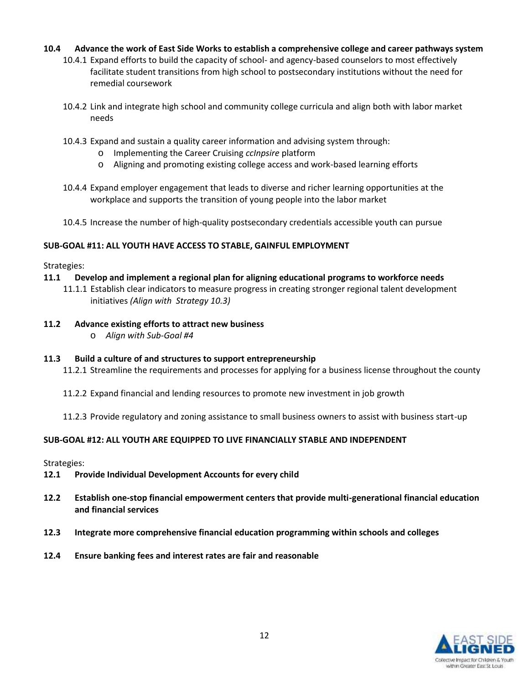## **10.4 Advance the work of East Side Works to establish a comprehensive college and career pathways system**

- 10.4.1 Expand efforts to build the capacity of school- and agency-based counselors to most effectively facilitate student transitions from high school to postsecondary institutions without the need for remedial coursework
- 10.4.2 Link and integrate high school and community college curricula and align both with labor market needs
- 10.4.3 Expand and sustain a quality career information and advising system through:
	- o Implementing the Career Cruising *ccInpsire* platform
	- o Aligning and promoting existing college access and work-based learning efforts
- 10.4.4 Expand employer engagement that leads to diverse and richer learning opportunities at the workplace and supports the transition of young people into the labor market
- 10.4.5 Increase the number of high-quality postsecondary credentials accessible youth can pursue

## **SUB-GOAL #11: ALL YOUTH HAVE ACCESS TO STABLE, GAINFUL EMPLOYMENT**

Strategies:

- **11.1 Develop and implement a regional plan for aligning educational programs to workforce needs**
	- 11.1.1 Establish clear indicators to measure progress in creating stronger regional talent development initiatives *(Align with Strategy 10.3)*
- **11.2 Advance existing efforts to attract new business**
	- o *Align with Sub-Goal #4*

## **11.3 Build a culture of and structures to support entrepreneurship**

- 11.2.1 Streamline the requirements and processes for applying for a business license throughout the county
- 11.2.2 Expand financial and lending resources to promote new investment in job growth
- 11.2.3 Provide regulatory and zoning assistance to small business owners to assist with business start-up

## **SUB-GOAL #12: ALL YOUTH ARE EQUIPPED TO LIVE FINANCIALLY STABLE AND INDEPENDENT**

Strategies:

- **12.1 Provide Individual Development Accounts for every child**
- **12.2 Establish one-stop financial empowerment centers that provide multi-generational financial education and financial services**
- **12.3 Integrate more comprehensive financial education programming within schools and colleges**
- **12.4 Ensure banking fees and interest rates are fair and reasonable**

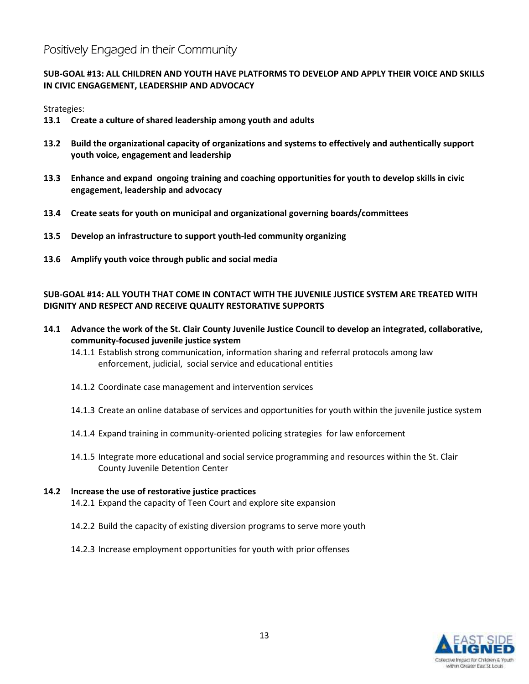# **Positively Engaged in their Community**

## **SUB-GOAL #13: ALL CHILDREN AND YOUTH HAVE PLATFORMS TO DEVELOP AND APPLY THEIR VOICE AND SKILLS IN CIVIC ENGAGEMENT, LEADERSHIP AND ADVOCACY**

Strategies:

- **13.1 Create a culture of shared leadership among youth and adults**
- **13.2 Build the organizational capacity of organizations and systems to effectively and authentically support youth voice, engagement and leadership**
- **13.3 Enhance and expand ongoing training and coaching opportunities for youth to develop skills in civic engagement, leadership and advocacy**
- **13.4 Create seats for youth on municipal and organizational governing boards/committees**
- **13.5 Develop an infrastructure to support youth-led community organizing**
- **13.6 Amplify youth voice through public and social media**

## **SUB-GOAL #14: ALL YOUTH THAT COME IN CONTACT WITH THE JUVENILE JUSTICE SYSTEM ARE TREATED WITH DIGNITY AND RESPECT AND RECEIVE QUALITY RESTORATIVE SUPPORTS**

- **14.1 Advance the work of the St. Clair County Juvenile Justice Council to develop an integrated, collaborative, community-focused juvenile justice system**
	- 14.1.1 Establish strong communication, information sharing and referral protocols among law enforcement, judicial, social service and educational entities
	- 14.1.2 Coordinate case management and intervention services
	- 14.1.3 Create an online database of services and opportunities for youth within the juvenile justice system
	- 14.1.4 Expand training in community-oriented policing strategies for law enforcement
	- 14.1.5 Integrate more educational and social service programming and resources within the St. Clair County Juvenile Detention Center

## **14.2 Increase the use of restorative justice practices**

- 14.2.1 Expand the capacity of Teen Court and explore site expansion
- 14.2.2 Build the capacity of existing diversion programs to serve more youth
- 14.2.3 Increase employment opportunities for youth with prior offenses